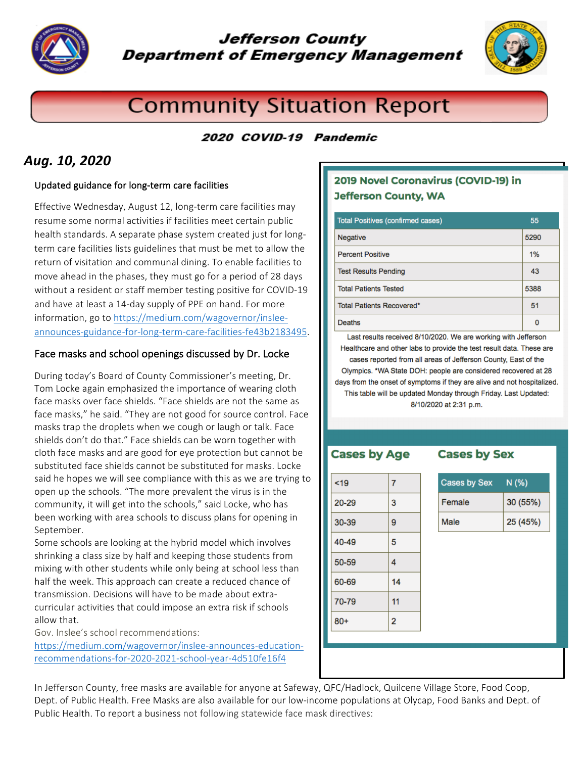

# **Jefferson County Department of Emergency Management**



# **Community Situation Report**

## 2020 COVID-19 Pandemic

# Aug. **10, 2020**

#### Updated guidance for long-term care facilities

Effective Wednesday, August 12, long-term care facilities may resume some normal activities if facilities meet certain public health standards. A separate phase system created just for longterm care facilities lists guidelines that must be met to allow the return of visitation and communal dining. To enable facilities to move ahead in the phases, they must go for a period of 28 days without a resident or staff member testing positive for COVID-19 and have at least a 14-day supply of PPE on hand. For more information, go to https://medium.com/wagovernor/insleeannounces-guidance-for-long-term-care-facilities-fe43b2183495. 

#### Face masks and school openings discussed by Dr. Locke

During today's Board of County Commissioner's meeting, Dr. Tom Locke again emphasized the importance of wearing cloth face masks over face shields. "Face shields are not the same as face masks," he said. "They are not good for source control. Face masks trap the droplets when we cough or laugh or talk. Face shields don't do that." Face shields can be worn together with cloth face masks and are good for eye protection but cannot be substituted face shields cannot be substituted for masks. Locke said he hopes we will see compliance with this as we are trying to open up the schools. "The more prevalent the virus is in the community, it will get into the schools," said Locke, who has been working with area schools to discuss plans for opening in September.

Some schools are looking at the hybrid model which involves shrinking a class size by half and keeping those students from mixing with other students while only being at school less than half the week. This approach can create a reduced chance of transmission. Decisions will have to be made about extracurricular activities that could impose an extra risk if schools allow that. 

Gov. Inslee's school recommendations:

https://medium.com/wagovernor/inslee-announces-educationrecommendations-for-2020-2021-school-year-4d510fe16f4

### 2019 Novel Coronavirus (COVID-19) in **Jefferson County, WA**

| <b>Total Positives (confirmed cases)</b> | 55   |
|------------------------------------------|------|
| Negative                                 | 5290 |
| <b>Percent Positive</b>                  | 1%   |
| <b>Test Results Pending</b>              | 43   |
| <b>Total Patients Tested</b>             | 5388 |
| Total Patients Recovered*                | 51   |
| <b>Deaths</b>                            |      |

Last results received 8/10/2020. We are working with Jefferson Healthcare and other labs to provide the test result data. These are cases reported from all areas of Jefferson County, East of the Olympics. \*WA State DOH: people are considered recovered at 28 days from the onset of symptoms if they are alive and not hospitalized. This table will be updated Monday through Friday. Last Updated: 8/10/2020 at 2:31 p.m.

### **Cases by Age**

**Cases by Sex** 

| 19    | $\overline{7}$ |
|-------|----------------|
| 20-29 | 3              |
| 30-39 | 9              |
| 40-49 | 5              |
| 50-59 | 4              |
| 60-69 | 14             |
| 70-79 | 11             |
| $80+$ | 2              |

| <b>Cases by Sex</b> | N(% )    |
|---------------------|----------|
| Female              | 30 (55%) |
| Male                | 25 (45%) |

In Jefferson County, free masks are available for anyone at Safeway, QFC/Hadlock, Quilcene Village Store, Food Coop, Dept. of Public Health. Free Masks are also available for our low-income populations at Olycap, Food Banks and Dept. of Public Health. To report a business not following statewide face mask directives: